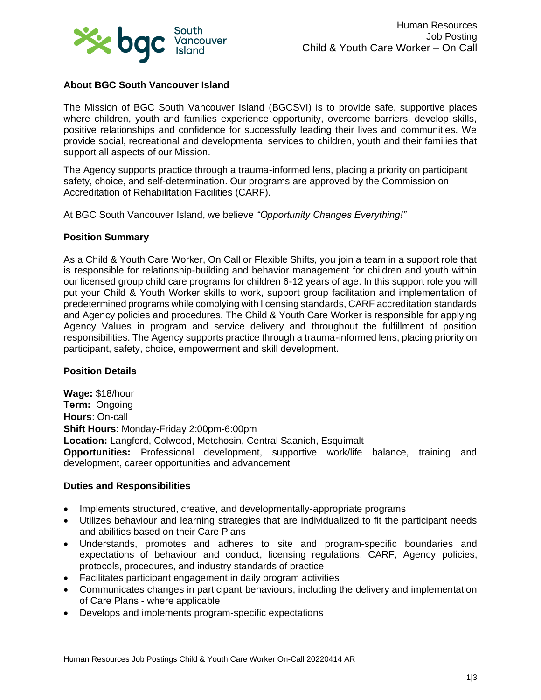

# **About BGC South Vancouver Island**

The Mission of BGC South Vancouver Island (BGCSVI) is to provide safe, supportive places where children, youth and families experience opportunity, overcome barriers, develop skills, positive relationships and confidence for successfully leading their lives and communities. We provide social, recreational and developmental services to children, youth and their families that support all aspects of our Mission.

The Agency supports practice through a trauma-informed lens, placing a priority on participant safety, choice, and self-determination. Our programs are approved by the Commission on Accreditation of Rehabilitation Facilities (CARF).

At BGC South Vancouver Island, we believe *"Opportunity Changes Everything!"*

### **Position Summary**

As a Child & Youth Care Worker, On Call or Flexible Shifts, you join a team in a support role that is responsible for relationship-building and behavior management for children and youth within our licensed group child care programs for children 6-12 years of age. In this support role you will put your Child & Youth Worker skills to work, support group facilitation and implementation of predetermined programs while complying with licensing standards, CARF accreditation standards and Agency policies and procedures. The Child & Youth Care Worker is responsible for applying Agency Values in program and service delivery and throughout the fulfillment of position responsibilities. The Agency supports practice through a trauma-informed lens, placing priority on participant, safety, choice, empowerment and skill development.

### **Position Details**

**Wage:** \$18/hour **Term:** Ongoing **Hours**: On-call **Shift Hours**: Monday-Friday 2:00pm-6:00pm **Location:** Langford, Colwood, Metchosin, Central Saanich, Esquimalt **Opportunities:** Professional development, supportive work/life balance, training and development, career opportunities and advancement

#### **Duties and Responsibilities**

- Implements structured, creative, and developmentally-appropriate programs
- Utilizes behaviour and learning strategies that are individualized to fit the participant needs and abilities based on their Care Plans
- Understands, promotes and adheres to site and program-specific boundaries and expectations of behaviour and conduct, licensing regulations, CARF, Agency policies, protocols, procedures, and industry standards of practice
- Facilitates participant engagement in daily program activities
- Communicates changes in participant behaviours, including the delivery and implementation of Care Plans - where applicable
- Develops and implements program-specific expectations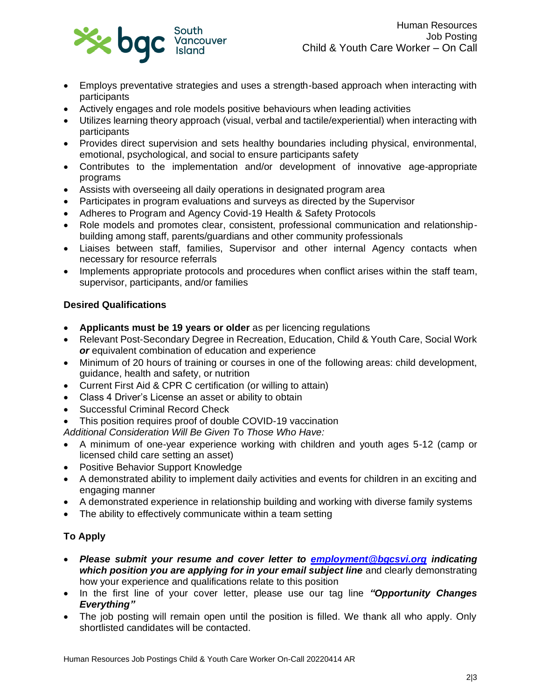

- Employs preventative strategies and uses a strength-based approach when interacting with participants
- Actively engages and role models positive behaviours when leading activities
- Utilizes learning theory approach (visual, verbal and tactile/experiential) when interacting with participants
- Provides direct supervision and sets healthy boundaries including physical, environmental, emotional, psychological, and social to ensure participants safety
- Contributes to the implementation and/or development of innovative age-appropriate programs
- Assists with overseeing all daily operations in designated program area
- Participates in program evaluations and surveys as directed by the Supervisor
- Adheres to Program and Agency Covid-19 Health & Safety Protocols
- Role models and promotes clear, consistent, professional communication and relationshipbuilding among staff, parents/guardians and other community professionals
- Liaises between staff, families, Supervisor and other internal Agency contacts when necessary for resource referrals
- Implements appropriate protocols and procedures when conflict arises within the staff team, supervisor, participants, and/or families

# **Desired Qualifications**

- **Applicants must be 19 years or older** as per licencing regulations
- Relevant Post-Secondary Degree in Recreation, Education, Child & Youth Care, Social Work *or* equivalent combination of education and experience
- Minimum of 20 hours of training or courses in one of the following areas: child development, guidance, health and safety, or nutrition
- Current First Aid & CPR C certification (or willing to attain)
- Class 4 Driver's License an asset or ability to obtain
- Successful Criminal Record Check
- This position requires proof of double COVID-19 vaccination
- *Additional Consideration Will Be Given To Those Who Have:*
- A minimum of one-year experience working with children and youth ages 5-12 (camp or licensed child care setting an asset)
- Positive Behavior Support Knowledge
- A demonstrated ability to implement daily activities and events for children in an exciting and engaging manner
- A demonstrated experience in relationship building and working with diverse family systems
- The ability to effectively communicate within a team setting

# **To Apply**

- *Please submit your resume and cover letter to [employment@bgcsvi.org](mailto:employment@bgcsvi.org) indicating which position you are applying for in your email subject line* and clearly demonstrating how your experience and qualifications relate to this position
- In the first line of your cover letter, please use our tag line *"Opportunity Changes Everything"*
- The job posting will remain open until the position is filled. We thank all who apply. Only shortlisted candidates will be contacted.